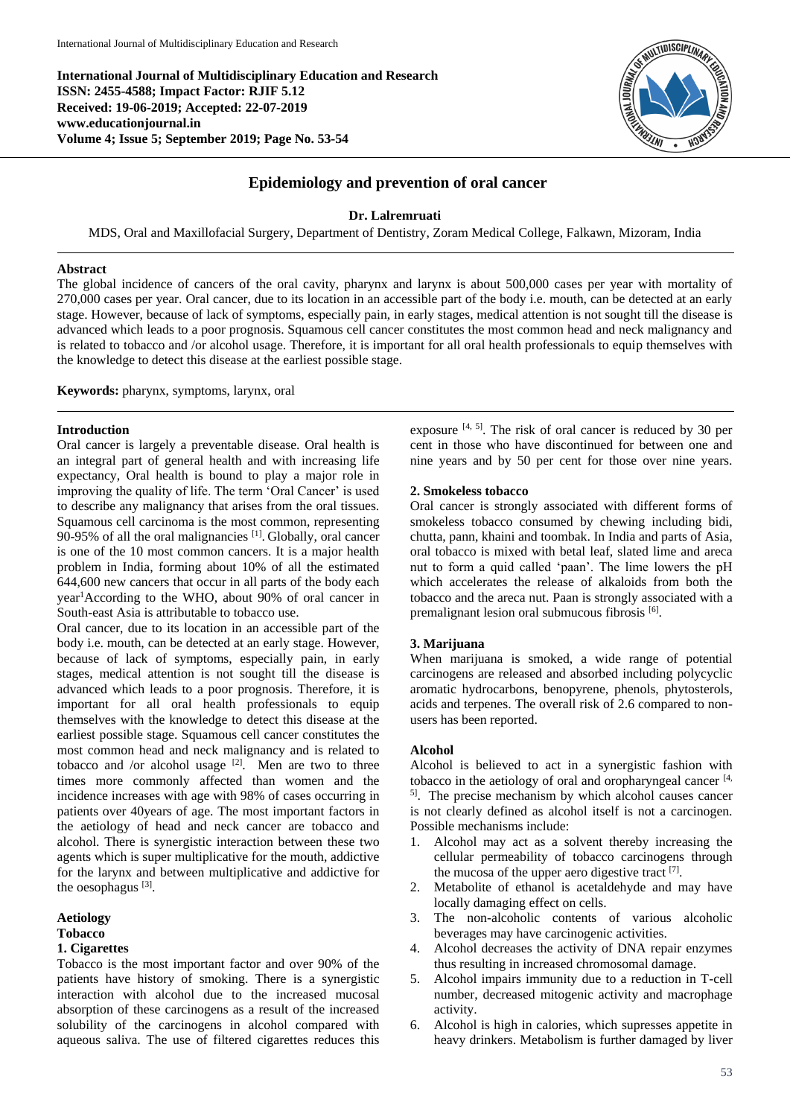**International Journal of Multidisciplinary Education and Research ISSN: 2455-4588; Impact Factor: RJIF 5.12 Received: 19-06-2019; Accepted: 22-07-2019 www.educationjournal.in Volume 4; Issue 5; September 2019; Page No. 53-54**



# **Epidemiology and prevention of oral cancer**

### **Dr. Lalremruati**

MDS, Oral and Maxillofacial Surgery, Department of Dentistry, Zoram Medical College, Falkawn, Mizoram, India

#### **Abstract**

The global incidence of cancers of the oral cavity, pharynx and larynx is about 500,000 cases per year with mortality of 270,000 cases per year. Oral cancer, due to its location in an accessible part of the body i.e. mouth, can be detected at an early stage. However, because of lack of symptoms, especially pain, in early stages, medical attention is not sought till the disease is advanced which leads to a poor prognosis. Squamous cell cancer constitutes the most common head and neck malignancy and is related to tobacco and /or alcohol usage. Therefore, it is important for all oral health professionals to equip themselves with the knowledge to detect this disease at the earliest possible stage.

**Keywords:** pharynx, symptoms, larynx, oral

#### **Introduction**

Oral cancer is largely a preventable disease. Oral health is an integral part of general health and with increasing life expectancy, Oral health is bound to play a major role in improving the quality of life. The term 'Oral Cancer' is used to describe any malignancy that arises from the oral tissues. Squamous cell carcinoma is the most common, representing 90-95% of all the oral malignancies  $[1]$ . Globally, oral cancer is one of the 10 most common cancers. It is a major health problem in India, forming about 10% of all the estimated 644,600 new cancers that occur in all parts of the body each year<sup>1</sup>According to the WHO, about 90% of oral cancer in South-east Asia is attributable to tobacco use.

Oral cancer, due to its location in an accessible part of the body i.e. mouth, can be detected at an early stage. However, because of lack of symptoms, especially pain, in early stages, medical attention is not sought till the disease is advanced which leads to a poor prognosis. Therefore, it is important for all oral health professionals to equip themselves with the knowledge to detect this disease at the earliest possible stage. Squamous cell cancer constitutes the most common head and neck malignancy and is related to tobacco and /or alcohol usage  $[2]$ . Men are two to three times more commonly affected than women and the incidence increases with age with 98% of cases occurring in patients over 40years of age. The most important factors in the aetiology of head and neck cancer are tobacco and alcohol. There is synergistic interaction between these two agents which is super multiplicative for the mouth, addictive for the larynx and between multiplicative and addictive for the oesophagus<sup>[3]</sup>.

#### **Aetiology**

#### **Tobacco**

# **1. Cigarettes**

Tobacco is the most important factor and over 90% of the patients have history of smoking. There is a synergistic interaction with alcohol due to the increased mucosal absorption of these carcinogens as a result of the increased solubility of the carcinogens in alcohol compared with aqueous saliva. The use of filtered cigarettes reduces this

exposure  $[4, 5]$ . The risk of oral cancer is reduced by 30 per cent in those who have discontinued for between one and nine years and by 50 per cent for those over nine years.

#### **2. Smokeless tobacco**

Oral cancer is strongly associated with different forms of smokeless tobacco consumed by chewing including bidi, chutta, pann, khaini and toombak. In India and parts of Asia, oral tobacco is mixed with betal leaf, slated lime and areca nut to form a quid called 'paan'. The lime lowers the pH which accelerates the release of alkaloids from both the tobacco and the areca nut. Paan is strongly associated with a premalignant lesion oral submucous fibrosis [6].

#### **3. Marijuana**

When marijuana is smoked, a wide range of potential carcinogens are released and absorbed including polycyclic aromatic hydrocarbons, benopyrene, phenols, phytosterols, acids and terpenes. The overall risk of 2.6 compared to nonusers has been reported.

#### **Alcohol**

Alcohol is believed to act in a synergistic fashion with tobacco in the aetiology of oral and oropharyngeal cancer  $[4, 6]$ 5] . The precise mechanism by which alcohol causes cancer is not clearly defined as alcohol itself is not a carcinogen. Possible mechanisms include:

- 1. Alcohol may act as a solvent thereby increasing the cellular permeability of tobacco carcinogens through the mucosa of the upper aero digestive tract  $[7]$ .
- 2. Metabolite of ethanol is acetaldehyde and may have locally damaging effect on cells.
- 3. The non-alcoholic contents of various alcoholic beverages may have carcinogenic activities.
- 4. Alcohol decreases the activity of DNA repair enzymes thus resulting in increased chromosomal damage.
- 5. Alcohol impairs immunity due to a reduction in T-cell number, decreased mitogenic activity and macrophage activity.
- 6. Alcohol is high in calories, which supresses appetite in heavy drinkers. Metabolism is further damaged by liver